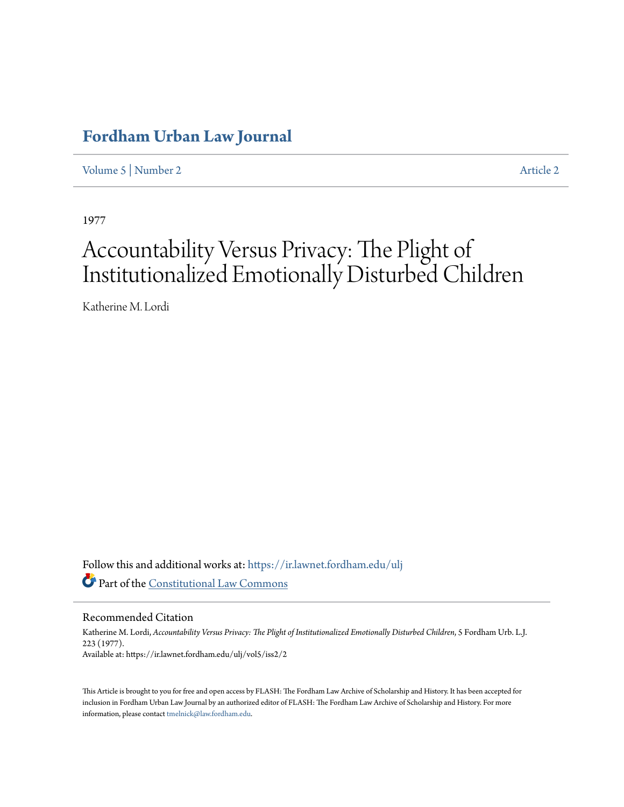## **[Fordham Urban Law Journal](https://ir.lawnet.fordham.edu/ulj?utm_source=ir.lawnet.fordham.edu%2Fulj%2Fvol5%2Fiss2%2F2&utm_medium=PDF&utm_campaign=PDFCoverPages)**

[Volume 5](https://ir.lawnet.fordham.edu/ulj/vol5?utm_source=ir.lawnet.fordham.edu%2Fulj%2Fvol5%2Fiss2%2F2&utm_medium=PDF&utm_campaign=PDFCoverPages) | [Number 2](https://ir.lawnet.fordham.edu/ulj/vol5/iss2?utm_source=ir.lawnet.fordham.edu%2Fulj%2Fvol5%2Fiss2%2F2&utm_medium=PDF&utm_campaign=PDFCoverPages) [Article 2](https://ir.lawnet.fordham.edu/ulj/vol5/iss2/2?utm_source=ir.lawnet.fordham.edu%2Fulj%2Fvol5%2Fiss2%2F2&utm_medium=PDF&utm_campaign=PDFCoverPages)

1977

# Accountability Versus Privacy: The Plight of Institutionalized Emotionally Disturbed Children

Katherine M. Lordi

Follow this and additional works at: [https://ir.lawnet.fordham.edu/ulj](https://ir.lawnet.fordham.edu/ulj?utm_source=ir.lawnet.fordham.edu%2Fulj%2Fvol5%2Fiss2%2F2&utm_medium=PDF&utm_campaign=PDFCoverPages) Part of the [Constitutional Law Commons](http://network.bepress.com/hgg/discipline/589?utm_source=ir.lawnet.fordham.edu%2Fulj%2Fvol5%2Fiss2%2F2&utm_medium=PDF&utm_campaign=PDFCoverPages)

Recommended Citation

Katherine M. Lordi, *Accountability Versus Privacy: The Plight of Institutionalized Emotionally Disturbed Children*, 5 Fordham Urb. L.J. 223 (1977). Available at: https://ir.lawnet.fordham.edu/ulj/vol5/iss2/2

This Article is brought to you for free and open access by FLASH: The Fordham Law Archive of Scholarship and History. It has been accepted for inclusion in Fordham Urban Law Journal by an authorized editor of FLASH: The Fordham Law Archive of Scholarship and History. For more information, please contact [tmelnick@law.fordham.edu](mailto:tmelnick@law.fordham.edu).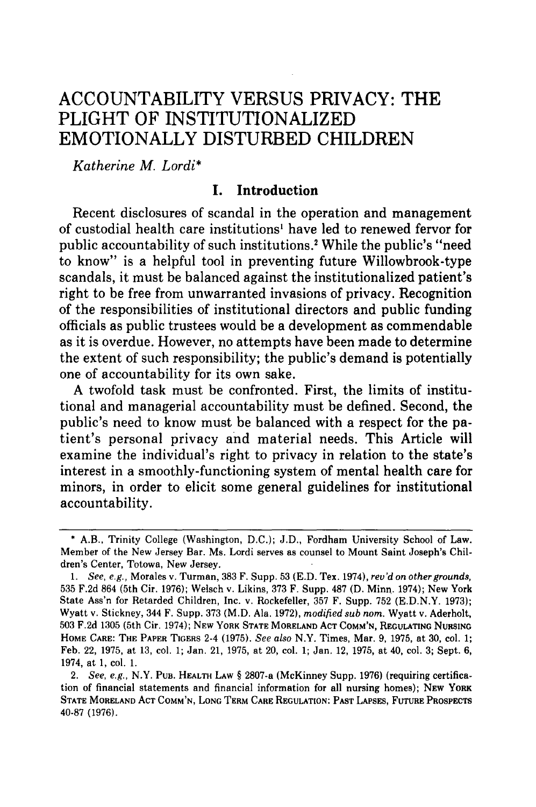### ACCOUNTABILITY **VERSUS** PRIVACY: THE PLIGHT OF INSTITUTIONALIZED EMOTIONALLY DISTURBED CHILDREN

*Katherine M. Lordi\**

#### **I. Introduction**

Recent disclosures of scandal in the operation and management of custodial health care institutions' have led to renewed fervor for public accountability of such institutions.<sup>2</sup> While the public's "need to know" is a helpful tool in preventing future Willowbrook-type scandals, it must be balanced against the institutionalized patient's right to be free from unwarranted invasions of privacy. Recognition of the responsibilities of institutional directors and public funding officials as public trustees would be a development as commendable as it is overdue. However, no attempts have been made to determine the extent of such responsibility; the public's demand is potentially one of accountability for its own sake.

**A** twofold task must be confronted. First, the limits of institutional and managerial accountability must be defined. Second, the public's need to know must be balanced with a respect for the patient's personal privacy and material needs. This Article will examine the individual's right to privacy in relation to the state's interest in a smoothly-functioning system of mental health care for minors, in order to elicit some general guidelines for institutional accountability.

**<sup>\*</sup>** A.B., Trinity College (Washington, **D.C.); J.D.,** Fordham University School of Law. Member of the New Jersey Bar. Ms. Lordi serves as counsel to Mount Saint Joseph's Children's Center, Totowa, New Jersey.

*<sup>1.</sup>* See, e.g., Morales v. Turman, **383** F. Supp. **53 (E.D.** Tex. 1974), rev'd *on other grounds,* **535 F.2d** 864 (5th Cir. **1976);** Welsch v. Likins, **373** F. Supp. **487 (D.** Minn. 1974); New York State Ass'n for Retarded Children, Inc. v. Rockefeller, **357** F. Supp. **752 (E.D.N.Y. 1973);** Wyatt v. Stickney, 344 F. Supp. **373** (M.D. Ala. **1972),** *modified sub nom.* Wyatt v. Aderholt, **503 F.2d 1305** (5th Cir. 1974); **NEW YORK STATE MORELAND ACT COMM'N, REGULATING NURSING HOME CARE: THE PAPER TIGERS** 2-4 **(1975).** *See also* N.Y. Times, Mar. **9, 1975,** at **30,** col. **1;** Feb. 22, **1975,** at **13,** col. **1;** Jan. 21, **1975,** at 20, col. **1;** Jan. 12, **1975,** at 40, col. **3;** Sept. **6,** 1974, at **1,** col. **1.**

<sup>2.</sup> *See, e.g.,* N.Y. Pua. **HEALTH LAW §** 2807-a (McKinney Supp. **1976) (requiring certification of financial statements and financial information for all nursing homes); NEW YORK STATE MORELAND ACT COMM'N, LONG TERM CARE REGULATION: PAST LAPSES, FUTURE PROSPECTS 40-87 (1976).**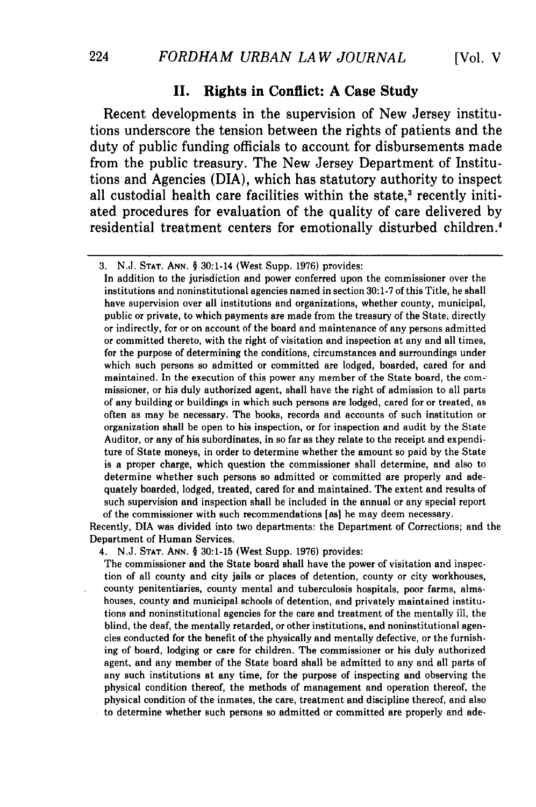#### **II.** Rights in Conflict: **A** Case Study

Recent developments in the supervision of New Jersey institutions underscore the tension between the rights of patients and the duty of public funding officials to account for disbursements made from the public treasury. The New Jersey Department of Institutions and Agencies (DIA), which has statutory authority to inspect all custodial health care facilities within the state,<sup>3</sup> recently initiated procedures for evaluation of the quality of care delivered **by** residential treatment centers for emotionally disturbed children.<sup>4</sup>

In addition to the jurisdiction and power conferred upon the commissioner over the institutions and noninstitutional agencies named in section **30:1-7** of this Title, he shall have supervision over all institutions and organizations, whether county, municipal, public or private, to which payments are made from the treasury of the State, directly or indirectly, for or on account of the board and maintenance of any persons admitted or committed thereto, with the right of visitation and inspection at any and all times, for the purpose of determining the conditions, circumstances and surroundings under which such persons so admitted or committed are lodged, boarded, cared for and maintained. In the execution of this power any member of the State board, the commissioner, or his duly authorized agent, shall have the right of admission to all parts of any building or buildings in which such persons are lodged, cared for or treated, as often as may be necessary. The books, records and accounts of such institution or organization shall be open to his inspection, or for inspection and audit **by** the State Auditor, or any of his subordinates, in so far as they relate to the receipt and expenditure of State moneys, in order to determine whether the amount so paid **by** the State is a proper charge, which question the commissioner shall determine, and also to determine whether such persons so admitted or committed are properly and adequately boarded, lodged, treated, cared for and maintained. The extent and results of such supervision and inspection shall be included in the annual or any special report of the commissioner with such recommendations [as] he may deem necessary.

Recently, **DIA** was divided into two departments: the Department of Corrections; and the Department of Human Services.

4. **N.J. STAT. ANN.** § **30:1-15** (West Supp. **1976)** provides:

The commissioner and the State board shall have the power of visitation and inspection of all county and city jails or places of detention, county or city workhouses, county penitentiaries, county mental and tuberculosis hospitals, poor farms, almshouses, county and municipal schools of detention, and privately maintained institutions and noninstitutional agencies for the care and treatment of the mentally ill, the blind, the deaf, the mentally retarded, or other institutions, and noninstitutional agencies conducted for the benefit of the physically and mentally defective, or the furnishing of board, lodging or care for children. The commissioner or his duly authorized agent, and any member of the State board shall be admitted to any and all parts of any such institutions at any time, for the purpose of inspecting and observing the physical condition thereof, the methods of management and operation thereof, the physical condition of the inmates, the care, treatment and discipline thereof, and also to determine whether such persons so admitted or committed are properly and ade-

<sup>3.</sup> N.J. **STAT. ANN. §** 30:1-14 (West Supp. 1976) provides: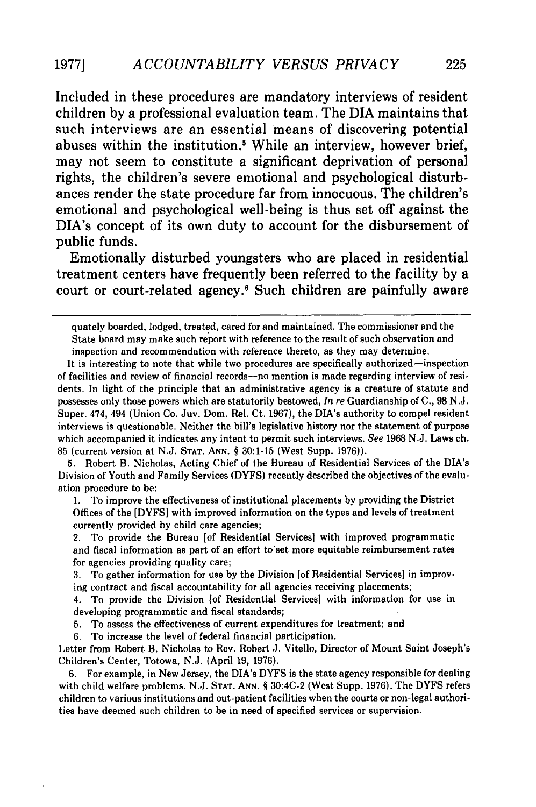Included in these procedures are mandatory interviews of resident children **by** a professional evaluation team. The **DIA** maintains that such interviews are an essential means of discovering potential abuses within the institution.' While an interview, however brief, may not seem to constitute a significant deprivation of personal rights, the children's severe emotional and psychological disturbances render the state procedure far from innocuous. The children's emotional and psychological well-being is thus set off against the DIA's concept of its own duty to account for the disbursement of public funds.

Emotionally disturbed youngsters who are placed in residential treatment centers have frequently been referred to the facility **by** a court or court-related agency.<sup>6</sup> Such children are painfully aware

It is interesting to note that while two procedures are specifically authorized- inspection of facilities and review of financial records-no mention is made regarding interview of residents. In light of the principle that an administrative agency is a creature of statute and possesses only those powers which are statutorily bestowed, *In* re Guardianship of C., 98 N.J. Super. 474, 494 (Union Co. Juv. Dom. Rel. Ct. 1967), the DIA's authority to compel resident interviews is questionable. Neither the bill's legislative history nor the statement of purpose which accompanied it indicates any intent to permit such interviews. *See* 1968 N.J. Laws ch. 85 (current version at N.J. **STAT. ANN.** § 30:1-15 (West Supp. 1976)).

5. Robert B. Nicholas, Acting Chief of the Bureau of Residential Services of the DIA's Division of Youth and Family Services (DYFS) recently described the objectives of the evaluation procedure to be:

1. To improve the effectiveness of institutional placements by providing the District Offices of the [DYFSI with improved information on the types and levels of treatment currently provided by child care agencies;

2. To provide the Bureau [of Residential Services] with improved programmatic and fiscal information as part of an effort to set more equitable reimbursement rates for agencies providing quality care;

3. To gather information for use by the Division [of Residential Services] in improving contract and fiscal accountability for all agencies receiving placements;

4. To provide the Division [of Residential Services] with information for use in developing programmatic and fiscal standards;

5. To assess the effectiveness of current expenditures for treatment; and

6. To increase the level of federal financial participation.

Letter from Robert B. Nicholas to Rev. Robert J. vitello, Director of Mount Saint Joseph's Children's Center, Totowa, N.J. (April 19, 1976).

6. For example, in New Jersey, the DIA's DYFS is the state agency responsible for dealing with child welfare problems. N.J. **STAT. ANN.** § 30:4C-2 (West Supp. 1976). The DYFS refers children to various institutions and out-patient facilities when the courts or non-legal authorities have deemed such children to be in need of specified services or supervision.

quately boarded, lodged, treated, cared for and maintained. The commissioner and the State board may make such report with reference to the result of such observation and inspection and recommendation with reference thereto, as they may determine.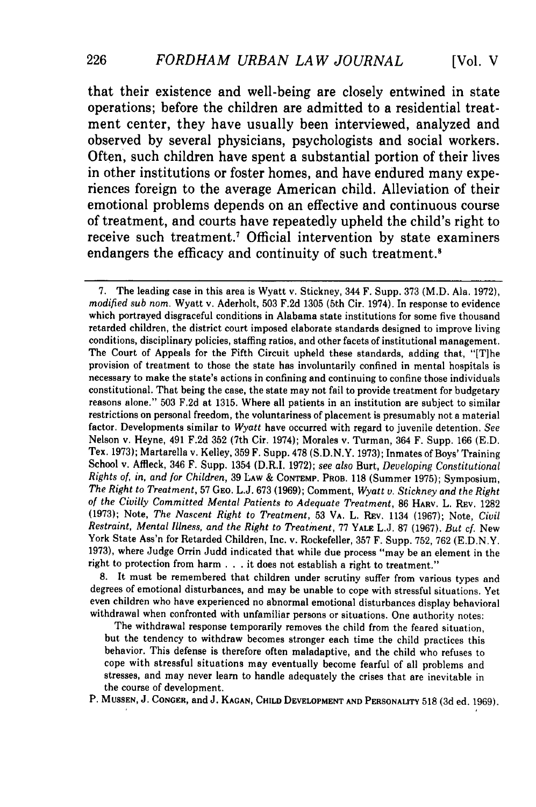that their existence and well-being are closely entwined in state operations; before the children are admitted to a residential treatment center, they have usually been interviewed, analyzed and observed **by** several physicians, psychologists and social workers. Often, such children have spent a substantial portion of their lives in other institutions or foster homes, and have endured many experiences foreign to the average American child. Alleviation of their emotional problems depends on an effective and continuous course of treatment, and courts have repeatedly upheld the child's right to receive such treatment.7 Official intervention **by** state examiners endangers the efficacy and continuity of such treatment.<sup>8</sup>

7. The leading case in this area is Wyatt v. Stickney, 344 F. Supp. 373 (M.D. Ala. 1972), *modified sub nom.* Wyatt v. Aderholt, 503 F.2d 1305 (5th Cir. 1974). In response to evidence which portrayed disgraceful conditions in Alabama state institutions for some five thousand retarded children, the district court imposed elaborate standards designed to improve living conditions, disciplinary policies, staffing ratios, and other facets of institutional management. The Court of Appeals for the Fifth Circuit upheld these standards, adding that, "[T]he provision of treatment to those the state has involuntarily confined in mental hospitals is necessary to make the state's actions in confining and continuing to confine those individuals constitutional. That being the case, the state may not fail to provide treatment for budgetary reasons alone." 503 F.2d at 1315. Where all patients in an institution are subject to similar restrictions on personal freedom, the voluntariness of placement is presumably not a material factor. Developments similar to *Wyatt* have occurred with regard to juvenile detention. See Nelson v. Heyne, 491 F.2d 352 (7th Cir. 1974); Morales v. Turman, 364 F. Supp. 166 (E.D. Tex. 1973); Martarella v. Kelley, 359 F. Supp. 478 (S.D.N.Y. 1973); Inmates of Boys' Training School v. Affleck, 346 F. Supp. 1354 (D.R.I. 1972); *see also* Burt, *Developing Constitutional Rights of, in, and for Children,* 39 **LAW** & CONTEMP. PROB. **118** (Summer 1975); Symposium, *The Right* to *Treatment,* 57 GEO. L.J. 673 (1969); Comment, *Wyatt v. Stickney and the Right of the Civilly Committed Mental Patients to Adequate Treatment,* 86 HARV. L. **REV.** 1282 (1973); Note, *The Nascent Right to Treatment,* 53 VA. L. REv. 1134 (1967); Note, *Civil Restraint, Mental Illness, and the Right to Treatment,* 77 YALE L.J. 87 (1967). *But cf.* New York State Ass'n for Retarded Children, Inc. v. Rockefeller, 357 F. Supp. 752, 762 (E.D.N.Y. 1973), where Judge Orrin Judd indicated that while due process "may be an element in the right to protection from harm . . . it does not establish a right to treatment."

8. It must be remembered that children under scrutiny suffer from various types and degrees of emotional disturbances, and may be unable to cope with stressful situations. Yet even children who have experienced no abnormal emotional disturbances display behavioral withdrawal when confronted with unfamiliar persons or situations. One authority notes:

The withdrawal response temporarily removes the child from the feared situation, but the tendency to withdraw becomes stronger each time the child practices this behavior. This defense is therefore often maladaptive, and the child who refuses to cope with stressful situations may eventually become fearful of all problems and stresses, and may never learn to handle adequately the crises that are inevitable in the course of development.

P. **MUSSEN,** J. **CONGER,** and **J. KAGAN, CHILD DEVELOPMENT AND PERSONALITY** 518 (3d ed. 1969).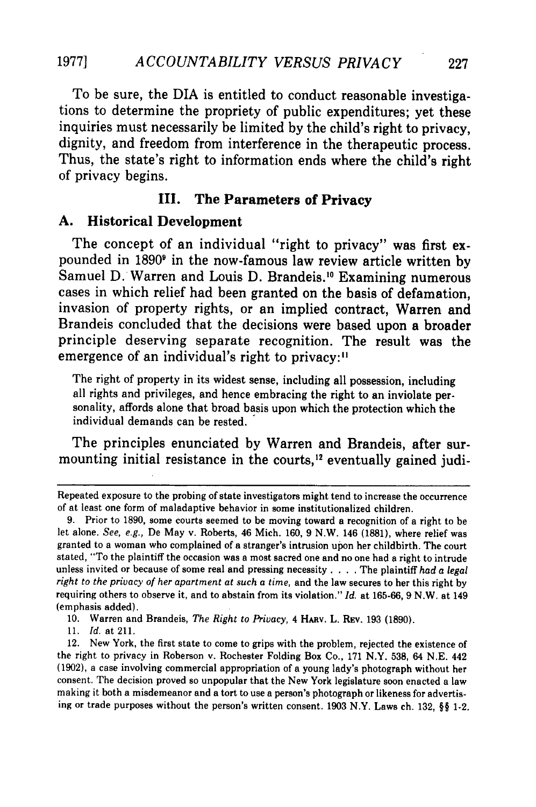To be sure, the DIA is entitled to conduct reasonable investigations to determine the propriety of public expenditures; yet these inquiries must necessarily be limited **by** the child's right to privacy, dignity, and freedom from interference in the therapeutic process. Thus, the state's right to information ends where the child's right of privacy begins.

#### **III. The Parameters of Privacy**

#### **A. Historical Development**

The concept of an individual "right to privacy" was first expounded in **1890** in the now-famous law review article written **by** Samuel D. Warren and Louis D. Brandeis.<sup>10</sup> Examining numerous cases in which relief had been granted on the basis of defamation, invasion of property rights, or an implied contract, Warren and Brandeis concluded that the decisions were based upon a broader principle deserving separate recognition. The result was the emergence of an individual's right to privacy:<sup>11</sup>

The right of property in its widest sense, including all possession, including all rights and privileges, and hence embracing the right to an inviolate personality, affords alone that broad basis upon which the protection which the individual demands can be rested.

The principles enunciated **by** Warren and Brandeis, after surmounting initial resistance in the courts, $12$  eventually gained judi-

10. Warren and Brandeis, *The Right to Privacy*, 4 HARV. L. REV. 193 (1890).

11. *Id.* at 211.

12. New York, the first state to come to grips with the problem, rejected the existence of the right to privacy in Roberson v. Rochester Folding Box Co., 171 N.Y. 538, 64 N.E. 442 (1902), a case involving commercial appropriation of a young lady's photograph without her consent. The decision proved so unpopular that the New York legislature soon enacted a law making it both a misdemeanor and a tort to use a person's photograph or likeness for advertising or trade purposes without the person's written consent. 1903 N.Y. Laws ch. 132, **§§** 1-2.

Repeated exposure to the probing of state investigators might tend to increase the occurrence of at least one form of maladaptive behavior in some institutionalized children.

**<sup>9.</sup>** Prior to **1890,** some courts seemed to be moving toward a recognition of a right to be let alone. *See,* e.g., De May v. Roberts, 46 Mich. **160, 9** N.W. 146 **(1881),** where relief was granted to a woman who complained of a stranger's intrusion upon her childbirth. The court stated, "To the plaintiff the occasion was a most sacred one and no one had a right to intrude unless invited or because of some real and pressing necessity .... The plaintiff *had a legal right to the privacy of her apartment at such a time,* and the law secures to her this right by requiring others to observe it, and to abstain from its violation." *Id.* at 165-66, 9 N.W. at 149 (emphasis added).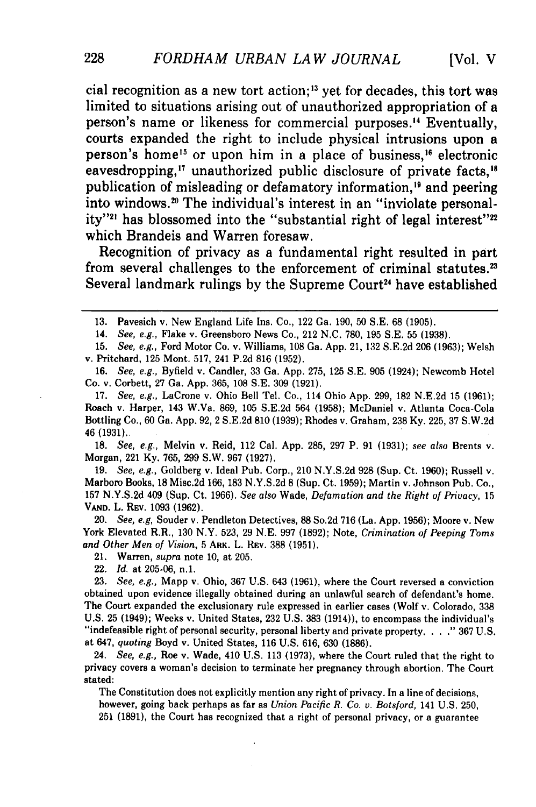cial recognition as a new tort action;<sup>13</sup> yet for decades, this tort was limited to situations arising out of unauthorized appropriation of a person's name or likeness for commercial purposes.'4 Eventually, courts expanded the right to include physical intrusions upon a person's home<sup>15</sup> or upon him in a place of business,<sup>16</sup> electronic eavesdropping,<sup>17</sup> unauthorized public disclosure of private facts,<sup>18</sup> publication of misleading or defamatory information,<sup>19</sup> and peering into windows.<sup>20</sup> The individual's interest in an "inviolate personality"<sup>21</sup> has blossomed into the "substantial right of legal interest"<sup>22</sup> which Brandeis and Warren foresaw.

Recognition of privacy as a fundamental right resulted in part from several challenges to the enforcement of criminal statutes.<sup>23</sup> Several landmark rulings by the Supreme Court<sup>24</sup> have established

14. *See, e.g.,* Flake v. Greensboro News Co., 212 **N.C.** 780, 195 S.E. 55 (1938).

15. *See, e.g.,* Ford Motor Co. v. Williams, 108 Ga. App. 21, 132 S.E.2d 206 (1963); Welsh v. Pritchard, 125 Mont. 517, 241 P.2d 816 (1952).

16. *See, e.g.,* Byfield v. Candler, 33 Ga. App. 275, 125 S.E. 905 (1924); Newcomb Hotel Co. v. Corbett, 27 Ga. App. 365, 108 S.E. 309 (1921).

17. *See, e.g.,* LaCrone v. Ohio Bell Tel. Co., 114 Ohio App. 299, 182 N.E.2d 15 (1961); Roach v. Harper, 143 W.Va. 869, 105 S.E.2d 564 (1958); McDaniel v. Atlanta Coca-Cola Bottling Co., 60 Ga. App. 92, 2 S.E.2d 810 (1939); Rhodes v. Graham, 238 Ky. 225, 37 S.W.2d 46 (1931)..

18. *See, e.g.,* Melvin v. Reid, 112 Cal. App. 285, 297 P. 91 (1931); *see also* Brents v. Morgan, 221 Ky. 765, 299 S.W. 967 (1927).

19. *See, e.g.,* Goldberg v. Ideal Pub. Corp., 210 N.Y.S.2d 928 (Sup. Ct. 1960); Russell v. Marboro Books, 18 Misc.2d 166, 183 N.Y.S.2d 8 (Sup. Ct. 1959); Martin v. Johnson Pub. Co., **157 N.Y.S.2d** 409 (Sup. Ct. 1966). *See also* Wade, *Defamation and the Right of Privacy,* 15 **VAND.** L. REV. 1093 (1962).

20. *See, e.g,* Souder v. Pendleton Detectives, 88 So.2d 716 (La. App. 1956); Moore v. New York Elevated R.R., 130 N.Y. 523, 29 N.E. 997 (1892); Note, *Crimination of Peeping Toms and Other Men of Vision,* 5 ARK. L. REv. 388 (1951).

21. Warren, *supra* note 10, at 205.

22. *Id.* at 205-06, n.1.

23. *See, e.g.,* Mapp v. Ohio, 367 U.S. 643 (1961), where the Court reversed a conviction obtained upon evidence illegally obtained during an unlawful search of defendant's home. The Court expanded the exclusionary rule expressed in earlier cases (Wolf v. Colorado, 338 U.S. 25 (1949); Weeks v. United States, 232 U.S. 383 (1914)), to encompass the individual's "indefeasible right of personal security, personal liberty and private property. **...** 367 U.S. at 647, *quoting* Boyd v. United States, 116 U.S. 616, 630 (1886).

24. *See, e.g.,* Roe v. Wade, 410 U.S. 113 (1973), where the Court ruled that the right to privacy covers a woman's decision to terminate her pregnancy through abortion. The Court stated:

The Constitution does not explicitly mention any right of privacy. In a line of decisions, however, going back perhaps as far as *Union Pacific R. Co. v. Botsford,* 141 U.S. 250, 251 (1891), the Court has recognized that a right of personal privacy, or a guarantee

<sup>13.</sup> Pavesich v. New England Life Ins. Co., 122 Ga. 190, 50 S.E. 68 (1905).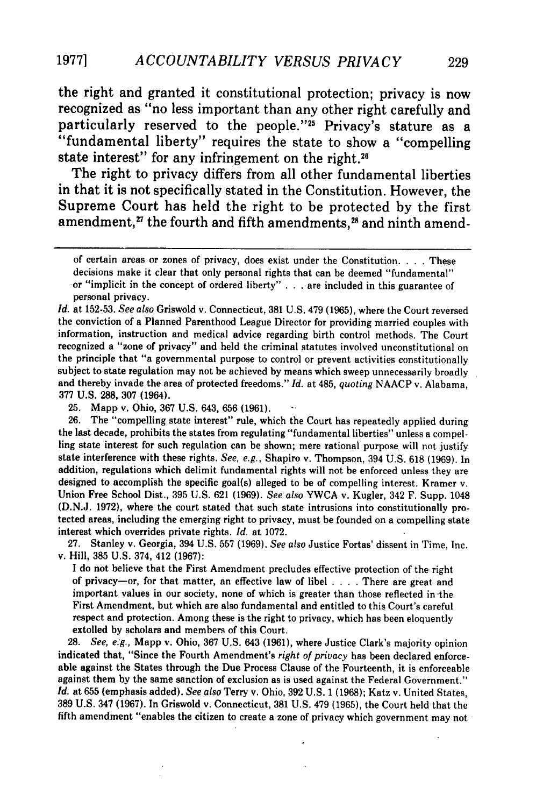the right and granted it constitutional protection; privacy is now recognized as "no less important than any other right carefully and particularly reserved to the people."25 Privacy's stature as a "fundamental liberty" requires the state to show a "compelling state interest" for any infringement on the right.<sup>26</sup>

The right to privacy differs from all other fundamental liberties in that it is not specifically stated in the Constitution. However, the Supreme Court has held the right to be protected **by** the first amendment, $^{27}$  the fourth and fifth amendments, $^{28}$  and ninth amend-

*Id.* at 152-53. *See also* Griswold v. Connecticut, 381 U.S. 479 (1965), where the Court reversed the conviction of a Planned Parenthood League Director for providing married couples with information, instruction and medical advice regarding birth control methods. The Court recognized a "zone of privacy" and held the criminal statutes involved unconstitutional on the principle that "a governmental purpose to control or prevent activities constitutionally subject to state regulation may not be achieved by means which sweep unnecessarily broadly and thereby invade the area of protected freedoms." *Id.* at 485, *quoting* NAACP v. Alabama, 377 U.S. 288, 307 (1964).

25. Mapp v. Ohio, 367 U.S. 643, 656 (1961). **-**

26. The "compelling state interest" rule, which the Court has repeatedly applied during the last decade, prohibits the states from regulating "fundamental liberties" unless a compelling state interest for such regulation can be shown; mere rational purpose will not justify state interference with these rights. *See, e.g.,* Shapiro v. Thompson, 394 U.S. 618 (1969). In addition, regulations which delimit fundamental rights will not be enforced unless they are designed to accomplish the specific goal(s) alleged to be of compelling interest. Kramer v. Union Free School Dist., 395 U.S. 621 (1969). *See also* YWCA v. Kugler, 342 F. Supp. 1048 (D.N.J. 1972), where the court stated that such state intrusions into constitutionally protected areas, including the emerging right to privacy, must be founded on a compelling state interest which overrides private rights. *Id.* at 1072.

27. Stanley v. Georgia, 394 U.S. 557 (1969). *See also* Justice Fortas' dissent in Time, Inc. v. Hill, 385 U.S. 374, 412 (1967):

I do not believe that the First Amendment precludes effective protection of the right of privacy-or, for that matter, an effective law of libel . **. .** . There are great and important values in our society, none of which is greater than those reflected in the First Amendment, but which are also fundamental and entitled to this Court's careful respect and protection. Among these is the right to privacy, which has been eloquently extolled by scholars and members of this Court.

28. *See, e.g.,* Mapp v. Ohio, 367 U.S. 643 (1961), where Justice Clark's majority opinion indicated that, "Since the Fourth Amendment's *right of privacy* has been declared enforceable against the States through the Due Process Clause of the Fourteenth, it is enforceable against them by the same sanction of exclusion as is used against the Federal Government." *Id.* at 655 (emphasis added). *See also* Terry v. Ohio, 392 U.S. 1 (1968); Katz v. United States, 389 U.S. 347 (1967). In Griswold v. Connecticut, 381 U.S. 479 (1965), the Court held that the fifth amendment "enables the citizen to create a zone of privacy which government may not

of certain areas or zones of privacy, does exist under the Constitution. . **.** . These decisions make it clear that only personal rights that can be deemed "fundamental" or "implicit in the concept of ordered liberty" ... are included in this guarantee of personal privacy.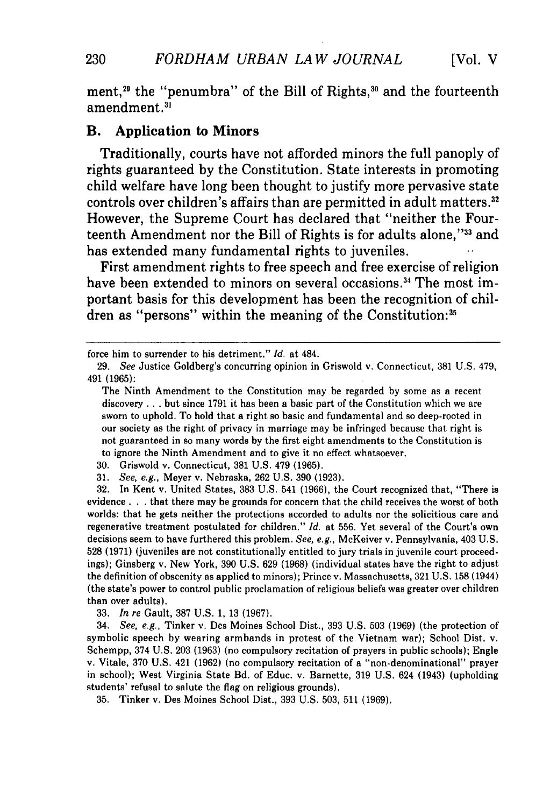ment,<sup>29</sup> the "penumbra" of the Bill of Rights,<sup>30</sup> and the fourteenth amendment.<sup>31</sup>

#### B. **Application to Minors**

Traditionally, courts have not afforded minors the full panoply of rights guaranteed **by** the Constitution. State interests in promoting child welfare have long been thought to justify more pervasive state controls over children's affairs than are permitted in adult matters.<sup>32</sup> However, the Supreme Court has declared that "neither the Fourteenth Amendment nor the Bill of Rights is for adults alone,"33 and has extended many fundamental rights to juveniles.

First amendment rights to free speech and free exercise of religion have been extended to minors on several occasions.<sup>34</sup> The most important basis for this development has been the recognition of children as "persons" within the meaning of the Constitution:<sup>3</sup>

31. *See, e.g.,* Meyer v. Nebraska, 262 U.S. 390 (1923).

32. In Kent v. United States, 383 U.S. 541 (1966), the Court recognized that, "There is evidence **.. .** that there may be grounds for concern that the child receives the worst of both worlds: that he gets neither the protections accorded to adults nor the solicitious care and regenerative treatment postulated for children." *Id.* at 556. Yet several of the Court's own decisions seem to have furthered this problem. *See, e.g.,* McKeiver v. Pennsylvania, 403 U.S. 528 (1971) (juveniles are not constitutionally entitled to jury trials in juvenile court proceedings); Ginsberg v. New York, 390 U.S. 629 (1968) (individual states have the right to adjust the definition of obscenity as applied to minors); Prince v. Massachusetts, 321 U.S. 158 (1944) (the state's power to control public proclamation of religious beliefs was greater over children than over adults).

33. *In re* Gault, 387 U.S. 1, 13 (1967).

34. *See, e.g.,* Tinker v. Des Moines School Dist., 393 U.S. 503 (1969) (the protection of symbolic speech by wearing armbands in protest of the Vietnam war); School Dist. v. Schempp, 374 U.S. 203 (1963) (no compulsory recitation of prayers in public schools); Engle v. Vitale, 370 U.S. 421 (1962) (no compulsory recitation of a "non-denominational" prayer in school); West Virginia State Bd. of Educ. v. Barnette, 319 U.S. 624 (1943) (upholding students' refusal to salute the flag on religious grounds).

35. Tinker v. Des Moines School Dist., 393 U.S. 503, 511 (1969).

230

force him to surrender to his detriment." *Id.* at 484.

<sup>29.</sup> *See* Justice Goldberg's concurring opinion in Griswold v. Connecticut, 381 U.S. 479, 491 (1965):

The Ninth Amendment to the Constitution may be regarded by some as a recent discovery **...** but since 1791 it has been a basic part of the Constitution which we are sworn to uphold. To hold that a right so basic and fundamental and so deep-rooted in our society as the right of privacy in marriage may be infringed because that right is not guaranteed in so many words by the first eight amendments to the Constitution is to ignore the Ninth Amendment and to give it no effect whatsoever.

<sup>30.</sup> Griswold v. Connecticut, 381 U.S. 479 (1965).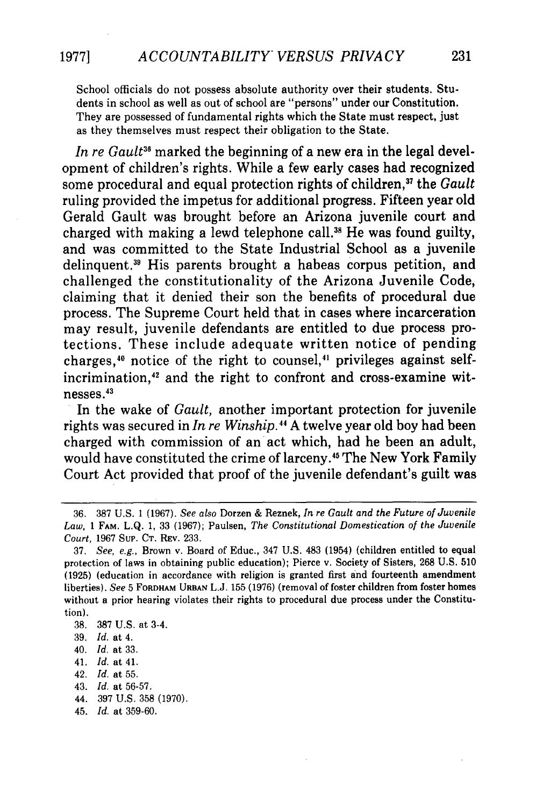School officials do not possess absolute authority over their students. Students in school as well as out of school are "persons" under our Constitution. They are possessed of fundamental rights which the State must respect, just as they themselves must respect their obligation to the State.

In re Gault<sup>36</sup> marked the beginning of a new era in the legal development of children's rights. While a few early cases had recognized some procedural and equal protection rights of children,<sup>37</sup> the *Gault* ruling provided the impetus for additional progress. Fifteen year old Gerald Gault was brought before an Arizona juvenile court and charged with making a lewd telephone call.<sup>38</sup> He was found guilty, and was committed to the State Industrial School as a juvenile delinquent." His parents brought a habeas corpus petition, and challenged the constitutionality of the Arizona Juvenile Code, claiming that it denied their son the benefits of procedural due process. The Supreme Court held that in cases where incarceration may result, juvenile defendants are entitled to due process protections. These include adequate written notice of pending charges, $40$  notice of the right to counsel, $41$  privileges against selfincrimination,<sup>42</sup> and the right to confront and cross-examine witnesses.<sup>43</sup><br>In the wake of *Gault*, another important protection for juvenile

rights was secured in *In re Winship."* A twelve year old boy had been charged with commission of an act which, had he been an adult, would have constituted the crime of larceny." The New York Family Court Act provided that proof of the juvenile defendant's guilt was

41. *Id.* at 41.

- 43. *Id.* at **56-57.**
- 44. **397 U.S. 358 (1970).**
- 45. *Id.* at **359-60.**

<sup>36.</sup> **387** U.S. 1 (1967). *See also* Dorzen & Reznek, *In re Gault and the Future of Juvenile Law,* **1** FAM. L.Q. 1, 33 (1967); Paulsen, *The Constitutional Domestication of the Juvenile Court,* 1967 Sup. CT. REV. 233.

<sup>37.</sup> *See, e.g.,* Brown v. Board of Educ., 347 U.S. 483 (1954) (children entitled to equal protection of laws in obtaining public education); Pierce v. Society of Sisters, 268 U.S. 510 (1925) (education in accordance with religion is granted first and fourteenth amendment liberties). *See* 5 **FORDHAM URBAN** L.J. 155 (1976) (removal of foster children from foster homes without a prior hearing violates their rights to procedural due process under the Constitution).

**<sup>38. 387</sup> U.S.** at 3-4.

**<sup>39.</sup>** *Id.* at 4.

<sup>40.</sup> **Id.** at **33.**

<sup>42.</sup> *Id.* at **55.**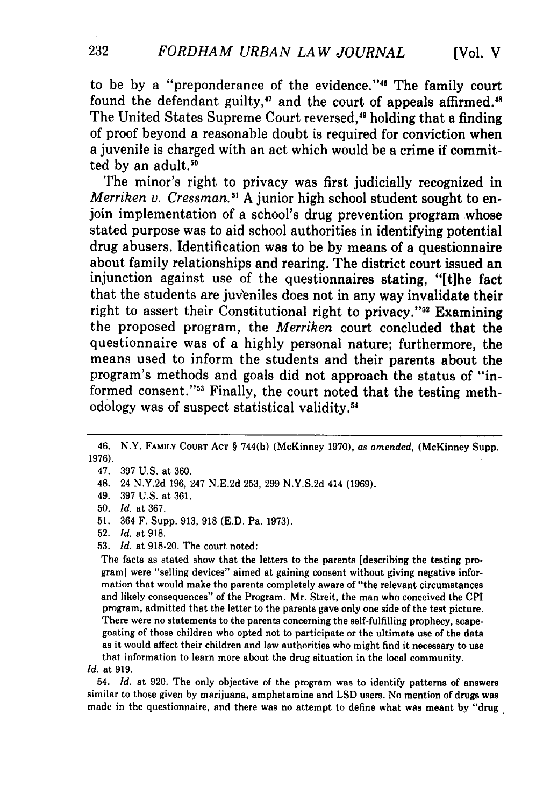to be by a "preponderance of the evidence."<sup>46</sup> The family court found the defendant guilty, $47$  and the court of appeals affirmed. $48$ The United States Supreme Court reversed,<sup>49</sup> holding that a finding of proof beyond a reasonable doubt is required for conviction when a juvenile is charged with an act which would be a crime if committed **by** an adult.50

The minor's right to privacy was first judicially recognized in *Merriken v. Cressman. 1* **A** junior high school student sought to enjoin implementation of a school's drug prevention program whose stated purpose was to aid school authorities in identifying potential drug abusers. Identification was to be **by** means of a questionnaire about family relationships and rearing. The district court issued an injunction against use of the questionnaires stating, "[tihe fact that the students are juveniles does not in any way invalidate their right to assert their Constitutional right to privacy."<sup>52</sup> Examining the proposed program, the *Merriken* court concluded that the questionnaire was of a **highly** personal nature; furthermore, the means used to inform the students and their parents about the program's methods and goals did not approach the status of "informed consent."<sup>53</sup> Finally, the court noted that the testing methodology was of suspect statistical validity.5'

53. *Id.* at 918-20. The court noted:

The facts as stated show that the letters to the parents [describing the testing programl were "selling devices" aimed at gaining consent without giving negative information that would make the parents completely aware of "the relevant circumstances and likely consequences" of the Program. Mr. Streit, the man who conceived the **CP1** program, admitted that the letter to the parents gave only **one** side of the test picture. There were no statements to the parents concerning the self-fulfilling prophecy, scapegoating of those children who opted not to participate or the ultimate use of the data as it would affect their children and law authorities who might find it necessary to use that information to learn more about the drug situation in the local community.

54. *Id.* at 920. The only objective of the program was to identify patterns of answers similar to those given **by** marijuana, amphetamine and **LSD** users. No mention of drugs was made in the questionnaire, and there was no attempt to define what was meant by "drug

232

<sup>46.</sup> N.Y. FAMILY COURT AcT § 744(b) (McKinney 1970), *as amended,* (McKinney Supp. 1976).

<sup>47. 397</sup> U.S. at 360.

<sup>48. 24</sup> N.Y.2d 196, 247 N.E.2d 253, 299 N.Y.S.2d 414 (1969).

<sup>49. 397</sup> U.S. at 361.

**<sup>50.</sup>** *Id.* at 367.

<sup>51. 364</sup> F. Supp. 913, 918 (E.D. Pa. 1973).

<sup>52.</sup> *Id.* at 918.

*Id.* at 919.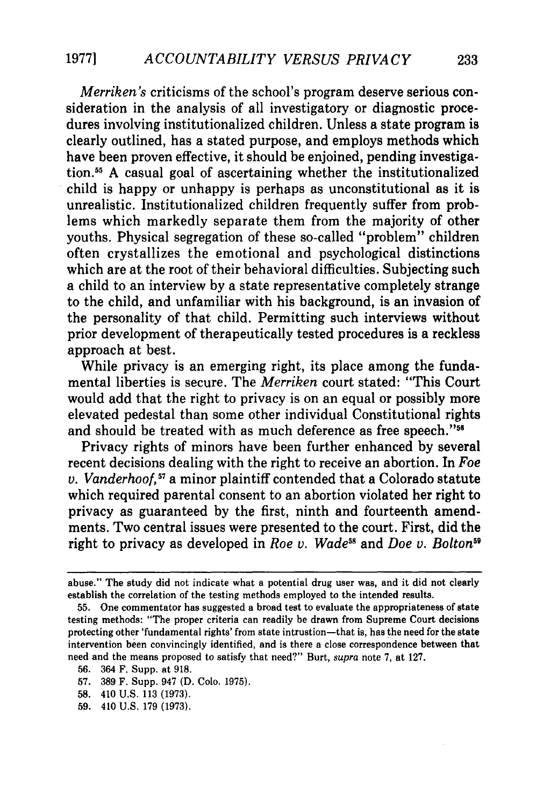*Merriken's* criticisms of the school's program deserve serious consideration in the analysis of all investigatory or diagnostic procedures involving institutionalized children. Unless a state program is clearly outlined, has a stated purpose, and employs methods which have been proven effective, it should be enjoined, pending investigation.5 A casual goal of ascertaining whether the institutionalized child is happy or unhappy is perhaps as unconstitutional as it is unrealistic. Institutionalized children frequently suffer from problems which markedly separate them from the majority of other youths. Physical segregation of these so-called "problem" children often crystallizes the emotional and psychological distinctions which are at the root of their behavioral difficulties. Subjecting such a child to an interview by a state representative completely strange to the child, and unfamiliar with his background, is an invasion of the personality of that child. Permitting such interviews without prior development of therapeutically tested procedures is a reckless approach at best.

While privacy is an emerging right, its place among the fundamental liberties is secure. The *Merriken* court stated: "This Court would add that the right to privacy is on an equal or possibly more elevated pedestal than some other individual Constitutional rights and should be treated with as much deference as free speech."<sup>56</sup>

Privacy rights of minors have been further enhanced by several recent decisions dealing with the right to receive an abortion. In *Foe v. Vanderhoo, <sup>57</sup>*a minor plaintiff contended that a Colorado statute which required parental consent to an abortion violated her right to privacy as guaranteed by the first, ninth and fourteenth amendments. Two central issues were presented to the court. First, did the right to privacy as developed in *Roe v. Wade*<sup>58</sup> and *Doe v. Bolton*<sup>59</sup>

- 58. 410 U.S. 113 (1973).
- 59. 410 U.S. 179 (1973).

abuse." The study did not indicate what a potential drug user was, and it did not clearly establish the correlation of the testing methods employed to the intended results.

<sup>55.</sup> One commentator has suggested a broad test to evaluate the appropriateness of state testing methods: "The proper criteria can readily be drawn from Supreme Court decisions protecting other 'fundamental rights' from state intrustion—that is, has the need for the state intervention been convincingly identified, and is there a close correspondence between that need and the means proposed to satisfy that need?" Burt, supra note 7, at 127.

<sup>56. 364</sup> F. Supp. at 918.

<sup>57. 389</sup> F. Supp. 947 (D. Colo. 1975).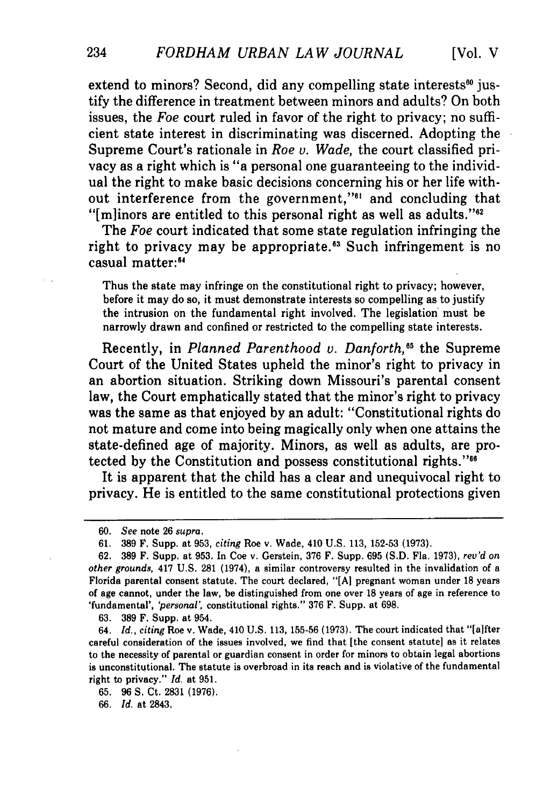extend to minors? Second, did any compelling state interests $60$  justify the difference in treatment between minors and adults? On both issues, the *Foe* court ruled in favor of the right to privacy; no sufficient state interest in discriminating was discerned. Adopting the Supreme Court's rationale in *Roe v. Wade,* the court classified privacy as a right which is "a personal one guaranteeing to the individual the right to make basic decisions concerning his or her life without interference from the government,"<sup>61</sup> and concluding that " $[m]$ inors are entitled to this personal right as well as adults." $2^{10}$ 

The *Foe* court indicated that some state regulation infringing the right to privacy may be appropriate.<sup>63</sup> Such infringement is no casual matter:<sup>64</sup>

Thus the state may infringe on the constitutional right to privacy; however, before it may do so, it must demonstrate interests so compelling as to justify the intrusion on the fundamental right involved. The legislation must be narrowly drawn and confined or restricted to the compelling state interests.

Recently, in *Planned Parenthood v. Danforth,"5* the Supreme Court of the United States upheld the minor's right to privacy in an abortion situation. Striking down Missouri's parental consent law, the Court emphatically stated that the minor's right to privacy was the same as that enjoyed by an adult: "Constitutional rights do not mature and come into being magically only when one attains the state-defined age of majority. Minors, as well as adults, are protected by the Constitution and possess constitutional rights."<sup>66</sup>

It is apparent that the child has a clear and unequivocal right to privacy. He is entitled to the same constitutional protections given

**63. 389** F. Supp. at 954.

**65. 96 S.** Ct. **2831 (1976).**

**66.** *Id.* at 2843.

234

*<sup>60.</sup> See* note **26** *supra.*

**<sup>61. 389</sup>** F. Supp. at **953,** *citing* Roe v. Wade, 410 **U.S. 113, 152-53 (1973).**

**<sup>62. 389</sup>** F. Supp. at **953.** In Coe v. Gerstein, **376** F. Supp. **695 (S.D.** Fla. **1973),** rev'd *on other grounds,* 417 **U.S. 281** (1974), a similar controversy resulted in the invalidation of a Florida parental consent statute. The court declared, **"[A]** pregnant woman under **18** years of age cannot, under the law, be distinguished from one over **18** years of age in reference to 'fundamental', *'personal',* constitutional rights." **376** F. Supp. at **698.**

<sup>64.</sup> *Id., citing* Roe v. Wade, 410 **U.S. 113, 155-56 (1973).** The court indicated that "[aifter careful consideration of the issues involved, we find that [the consent statute] as it relates to the necessity of parental or guardian consent in order for minors to obtain legal abortions is unconstitutional. The statute is overbroad in its reach and is violative of the fundamental right to privacy." *Id.* at **951.**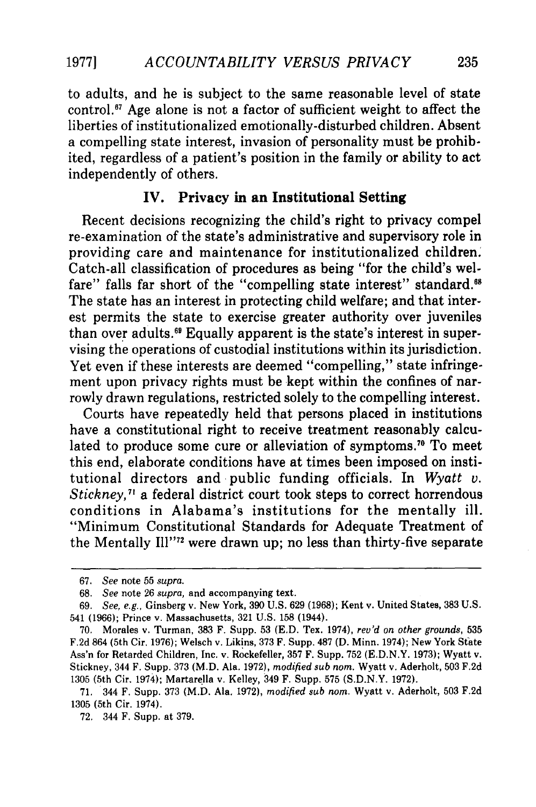to adults, and he is subject to the same reasonable level of state control.<sup>67</sup> Age alone is not a factor of sufficient weight to affect the liberties of institutionalized emotionally-disturbed children. Absent a compelling state interest, invasion of personality must be prohibited, regardless of a patient's position in the family or ability to act independently of others.

#### **IV. Privacy in an Institutional Setting**

Recent decisions recognizing the child's right to privacy compel re-examination of the state's administrative and supervisory role in providing care and maintenance for institutionalized children. Catch-all classification of procedures as being "for the child's welfare" falls far short of the "compelling state interest" standard.<sup>68</sup> The state has an interest in protecting child welfare; and that interest permits the state to exercise greater authority over juveniles than over adults.<sup>69</sup> Equally apparent is the state's interest in supervising the operations of custodial institutions within its jurisdiction. Yet even if these interests are deemed "compelling," state infringement upon privacy rights must be kept within the confines of narrowly drawn regulations, restricted solely to the compelling interest.

Courts have repeatedly held that persons placed in institutions have a constitutional right to receive treatment reasonably calculated to produce some cure or alleviation of symptoms." To meet this end, elaborate conditions have at times been imposed on institutional directors and public funding officials. In *Wyatt v. Stickney,7'* a federal district court took steps to correct horrendous conditions in Alabama's institutions for the mentally ill. "Minimum Constitutional Standards for Adequate Treatment of the Mentally Ill"72 were drawn up; no less than thirty-five separate

<sup>67.</sup> *See* note 55 *supra.*

<sup>68.</sup> *See* note 26 *supra,* and accompanying text.

<sup>69.</sup> *See, e.g.,* Ginsberg v. New York, 390 U.S. 629 (1968); Kent v. United States, 383 U.S. 541 (1966); Prince v. Massachusetts, 321 U.S. 158 (1944).

<sup>70.</sup> Morales v. Turman, 383 F. Supp. 53 **(E.D.** Tex. 1974), *rev'd on other grounds,* 535 F.2d 864 (5th Cir. 1976); Welsch v. Likins, 373 F. Supp. 487 **(D.** Minn. 1974); New York State Ass'n for Retarded Children, Inc. v. Rockefeller, 357 F. Supp. 752 (E.D.N.Y. 1973); Wyatt v. Stickney, 344 F. Supp. 373 (M.D. Ala. 1972), *modified sub nom.* Wyatt v. Aderholt, 503 F.2d 1305 (5th Cir. 1974); Martarella v. Kelley, 349 F. Supp. 575 (S.D.N.Y. 1972).

<sup>71. 344</sup> F. Supp. 373 (M.D. Ala. 1972), *modified sub nom.* Wyatt v. Aderholt, 503 F.2d 1305 (5th Cir. 1974).

<sup>72. 344</sup> F. Supp. at 379.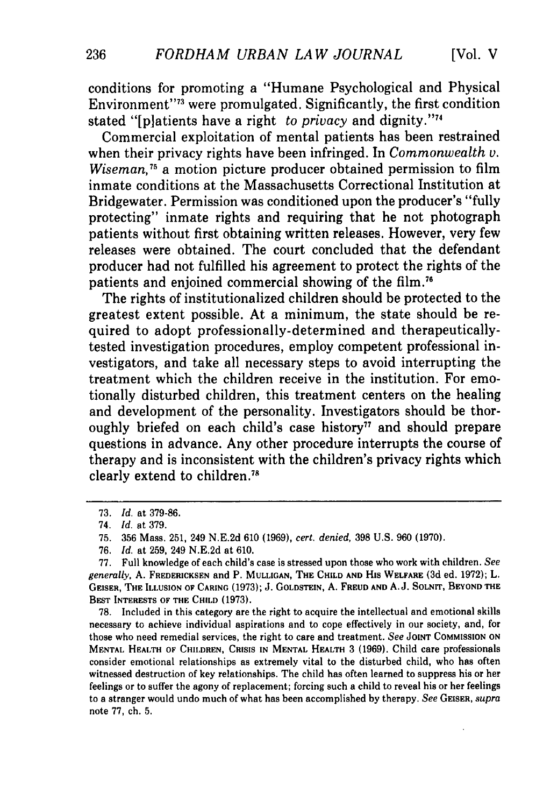conditions for promoting a "Humane Psychological and Physical Environment"73 were promulgated. Significantly, the first condition stated "[platients have a right *to privacy* and dignity."74

Commercial exploitation of mental patients has been restrained when their privacy rights have been infringed. In *Commonwealth v. Wiseman,75* a motion picture producer obtained permission to film inmate conditions at the Massachusetts Correctional Institution at Bridgewater. Permission was conditioned upon the producer's "fully protecting" inmate rights and requiring that he not photograph patients without first obtaining written releases. However, very few releases were obtained. The court concluded that the defendant producer had not fulfilled his agreement to protect the rights of the patients and enjoined commercial showing of the film.<sup>7</sup>

The rights of institutionalized children should be protected to the greatest extent possible. At a minimum, the state should be required to adopt professionally-determined and therapeuticallytested investigation procedures, employ competent professional investigators, and take all necessary steps to avoid interrupting the treatment which the children receive in the institution. For emotionally disturbed children, this treatment centers on the healing and development of the personality. Investigators should be thoroughly briefed on each child's case history<sup> $77$ </sup> and should prepare questions in advance. Any other procedure interrupts the course of therapy and is inconsistent with the children's privacy rights which clearly extend to children.<sup>7</sup>

**78.** Included in this category are the right to acquire the intellectual and emotional skills necessary to achieve individual aspirations and to cope effectively in our society, and, for those who need remedial services, the right to care and treatment. *See* **JOINT** COMMISSION **ON MENTAL** HEALTH OF CHILDREN, **CRISIS IN MENTAL** HEALTH 3 (1969). Child care professionals consider emotional relationships as extremely vital to the disturbed child, who has often witnessed destruction of key relationships. The child has often learned to suppress his or her feelings or to suffer the agony of replacement; forcing such a child to reveal his or her feelings to a stranger would undo much of what has been accomplished **by** therapy. See GEISER, *supra* note **77,** ch. **5.**

<sup>73.</sup> *Id.* at 379-86.

<sup>74.</sup> *Id.* at 379.

<sup>75. 356</sup> Mass. 251, 249 N.E.2d 610 (1969), *cert. denied,* 398 U.S. 960 (1970).

<sup>76.</sup> *Id.* at 259, 249 N.E.2d at 610.

<sup>77.</sup> Full knowledge of each child's case is stressed upon those who work with children. *See generally,* **A. FREDERICKSEN** and P. **MULLIGAN,** THE **CHILD AND** His **WELFARE** (3d ed. **1972);** L. **GEISER,** THE **ILLUSION** OF **CARING** (1973); **J. GOLDSTEIN, A. FREUD AND A.J. SOLNIT, BEYOND THE** BEST INTERESTS OF THE **CHILD** (1973).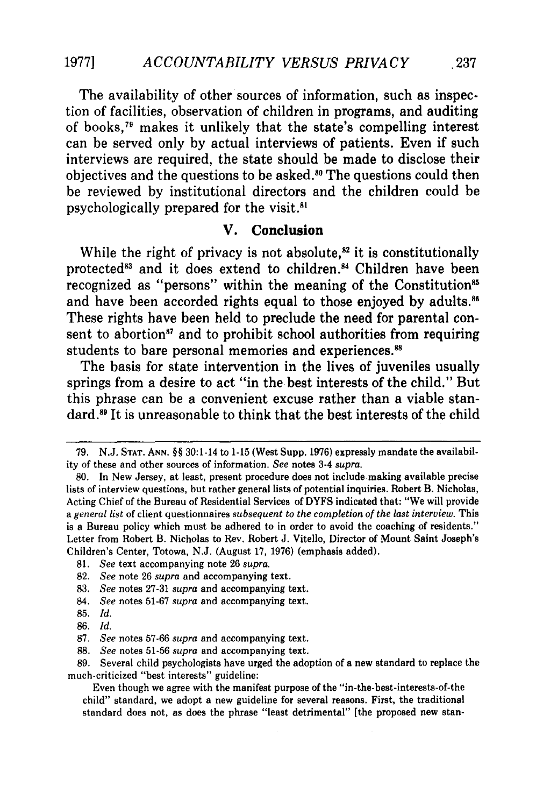The availability of other sources of information, such as inspection of facilities, observation of children in programs, and auditing of books,79 makes it unlikely that the state's compelling interest can be served only **by** actual interviews of patients. Even if such interviews are required, the state should be made to disclose their objectives and the questions to be asked." The questions could then be reviewed **by** institutional directors and the children could be psychologically prepared for the visit.<sup>81</sup>

#### **V. Conclusion**

While the right of privacy is not absolute, $s<sup>2</sup>$  it is constitutionally protected<sup>83</sup> and it does extend to children.<sup>84</sup> Children have been recognized as "persons" within the meaning of the Constitution<sup>85</sup> and have been accorded rights equal to those enjoyed by adults.<sup>86</sup> These rights have been held to preclude the need for parental consent to abortion<sup>87</sup> and to prohibit school authorities from requiring students to bare personal memories and experiences.<sup>88</sup>

The basis for state intervention in the lives of juveniles usually springs from a desire to act "in the best interests of the child." But this phrase can be a convenient excuse rather than a viable stan**dard.8 1** It **is** unreasonable to think that the best interests of the child

- 85. *Id.*
- 86. *Id.*

<sup>79.</sup> N.J. **STAT. ANN.** §§ 30:1-14 to **1-15** (West Supp. **1976)** expressly mandate the availability of these and other sources of information. See notes 3-4 *supra.*

<sup>80.</sup> In New Jersey, at least, present procedure does not include making available precise lists of interview questions, but rather general lists of potential inquiries. Robert B. Nicholas, Acting Chief of the Bureau of Residential Services of DYFS indicated that: "We will provide *a general list* of client questionnaires *subsequent to the completion of the last interview.* This is a Bureau policy which must be adhered to in order to avoid the coaching of residents." Letter from Robert B. Nicholas to Rev. Robert J. Vitello, Director of Mount Saint Joseph's Children's Center, Totowa, N.J. (August 17, 1976) (emphasis added).

**<sup>81.</sup>** *See* text accompanying note 26 *supra.*

<sup>82.</sup> *See* note 26 *supra* and accompanying text.

<sup>83.</sup> *See* notes 27-31 *supra* and accompanying text.

<sup>84.</sup> *See* notes 51-67 *supra* and accompanying text.

<sup>87.</sup> *See* notes 57-66 *supra* and accompanying text.

<sup>88.</sup> *See* notes 51-56 *supra* and accompanying text.

<sup>89.</sup> Several child psychologists have urged the adoption of a new standard to replace the much-criticized "best interests" guideline:

Even though we agree with the manifest purpose of the "in-the-best-interests-of-the child" standard, we adopt a new guideline for several reasons. First, the traditional standard does not, as does the phrase "least detrimental" [the proposed new stan-